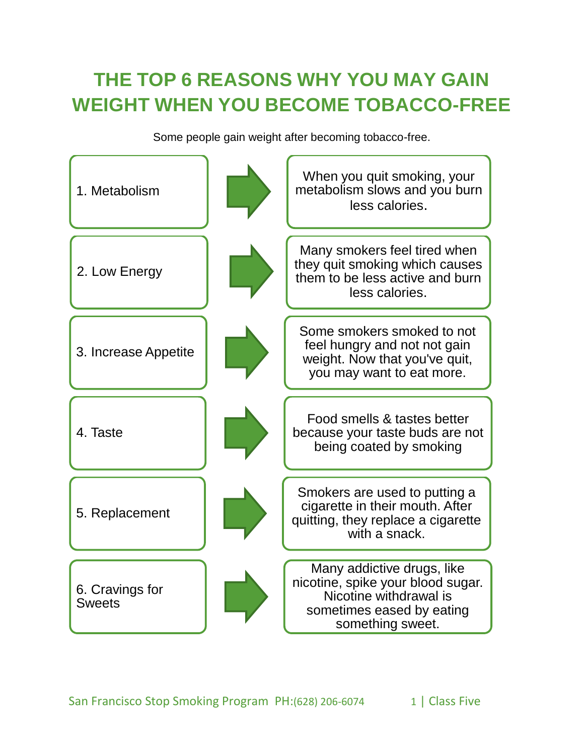### **THE TOP 6 REASONS WHY YOU MAY GAIN WEIGHT WHEN YOU BECOME TOBACCO-FREE**

Some people gain weight after becoming tobacco-free.

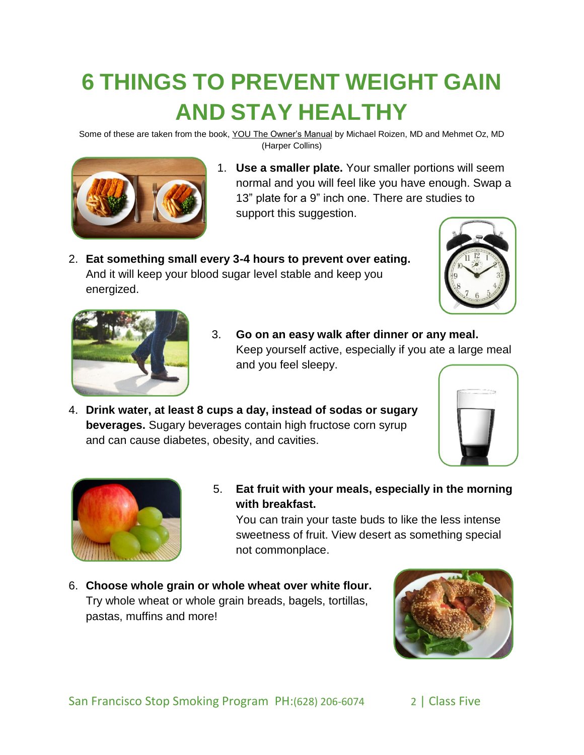# **6 THINGS TO PREVENT WEIGHT GAIN AND STAY HEALTHY**

Some of these are taken from the book, YOU The Owner's Manual by Michael Roizen, MD and Mehmet Oz, MD (Harper Collins)



- 1. **Use a smaller plate.** Your smaller portions will seem normal and you will feel like you have enough. Swap a 13" plate for a 9" inch one. There are studies to support this suggestion.
- 2. **Eat something small every 3-4 hours to prevent over eating.**  And it will keep your blood sugar level stable and keep you energized.





- 3. **Go on an easy walk after dinner or any meal.**  Keep yourself active, especially if you ate a large meal and you feel sleepy.
- 4. **Drink water, at least 8 cups a day, instead of sodas or sugary beverages.** Sugary beverages contain high fructose corn syrup and can cause diabetes, obesity, and cavities.





5. **Eat fruit with your meals, especially in the morning with breakfast.** 

You can train your taste buds to like the less intense sweetness of fruit. View desert as something special not commonplace.

6. **Choose whole grain or whole wheat over white flour.**  Try whole wheat or whole grain breads, bagels, tortillas, pastas, muffins and more!

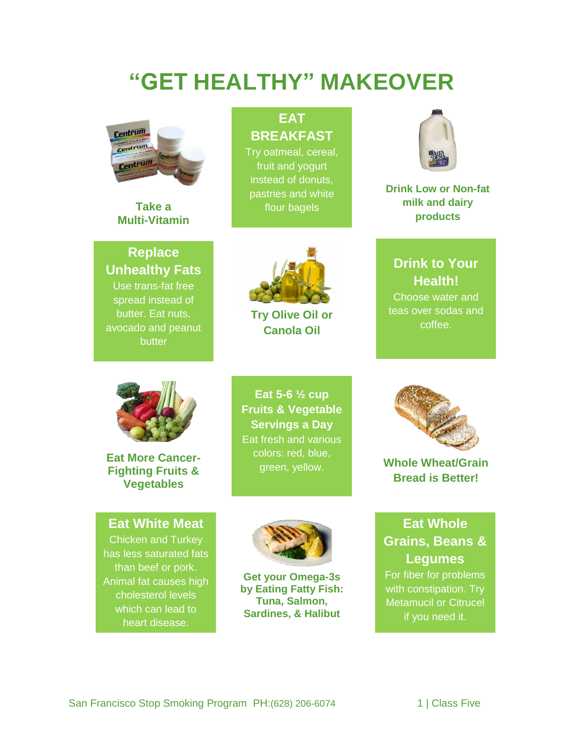## **"GET HEALTHY" MAKEOVER**



**Take a Multi-Vitamin**

**Replace Unhealthy Fats** Use trans-fat free spread instead of butter. Eat nuts, avocado and peanut butter

#### **EAT BREAKFAST**

Try oatmeal, cereal, fruit and yogurt instead of donuts, pastries and white flour bagels



**Try Olive Oil or Canola Oil**



**Drink Low or Non-fat milk and dairy products**

#### **Drink to Your Health!**

Choose water and teas over sodas and coffee.



**Eat More Cancer-Fighting Fruits & Vegetables**

**Eat White Meat** Chicken and Turkey has less saturated fats than beef or pork. Animal fat causes high cholesterol levels which can lead to heart disease.

**Eat 5-6 ½ cup Fruits & Vegetable Servings a Day** Eat fresh and various colors: red, blue, green, yellow.



**Get your Omega-3s by Eating Fatty Fish: Tuna, Salmon, Sardines, & Halibut** 



**Whole Wheat/Grain Bread is Better!** 

#### **Eat Whole Grains, Beans & Legumes** For fiber for problems

with constipation. Try Metamucil or Citrucel if you need it.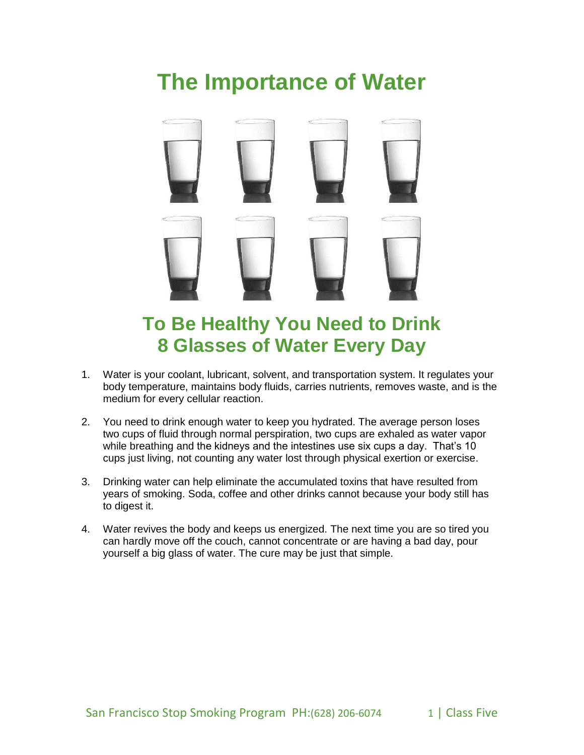## **The Importance of Water**



### **To Be Healthy You Need to Drink 8 Glasses of Water Every Day**

- 1. Water is your coolant, lubricant, solvent, and transportation system. It regulates your body temperature, maintains body fluids, carries nutrients, removes waste, and is the medium for every cellular reaction.
- 2. You need to drink enough water to keep you hydrated. The average person loses two cups of fluid through normal perspiration, two cups are exhaled as water vapor while breathing and the kidneys and the intestines use six cups a day. That's 10 cups just living, not counting any water lost through physical exertion or exercise.
- 3. Drinking water can help eliminate the accumulated toxins that have resulted from years of smoking. Soda, coffee and other drinks cannot because your body still has to digest it.
- 4. Water revives the body and keeps us energized. The next time you are so tired you can hardly move off the couch, cannot concentrate or are having a bad day, pour yourself a big glass of water. The cure may be just that simple.